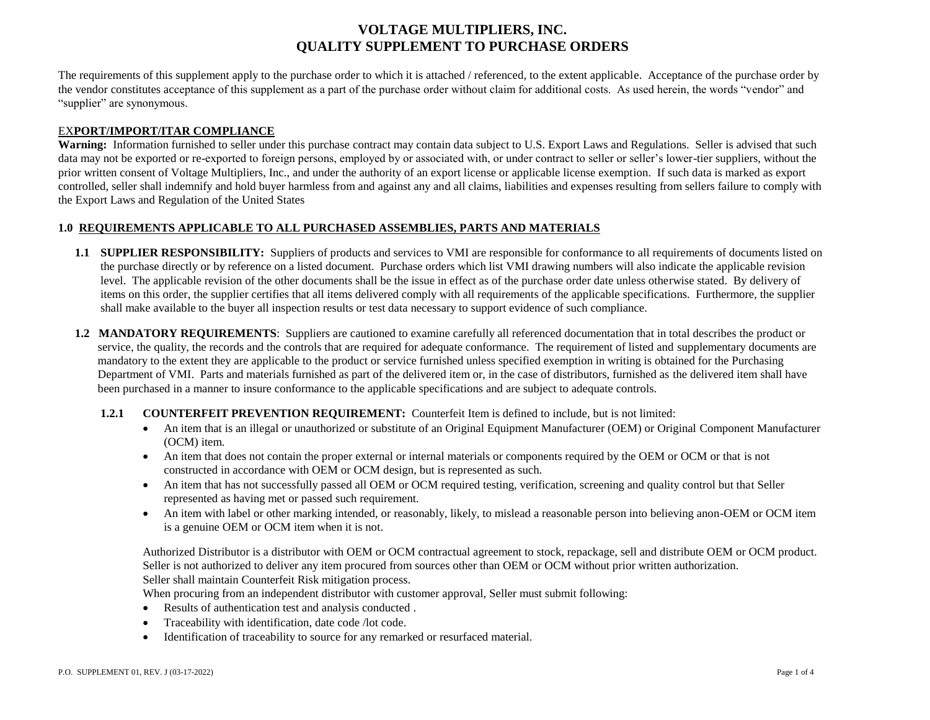# **VOLTAGE MULTIPLIERS, INC. QUALITY SUPPLEMENT TO PURCHASE ORDERS**

The requirements of this supplement apply to the purchase order to which it is attached / referenced, to the extent applicable. Acceptance of the purchase order by the vendor constitutes acceptance of this supplement as a part of the purchase order without claim for additional costs. As used herein, the words "vendor" and "supplier" are synonymous.

### EX**PORT/IMPORT/ITAR COMPLIANCE**

Warning: Information furnished to seller under this purchase contract may contain data subject to U.S. Export Laws and Regulations. Seller is advised that such data may not be exported or re-exported to foreign persons, employed by or associated with, or under contract to seller or seller's lower-tier suppliers, without the prior written consent of Voltage Multipliers, Inc., and under the authority of an export license or applicable license exemption. If such data is marked as export controlled, seller shall indemnify and hold buyer harmless from and against any and all claims, liabilities and expenses resulting from sellers failure to comply with the Export Laws and Regulation of the United States

## **1.0 REQUIREMENTS APPLICABLE TO ALL PURCHASED ASSEMBLIES, PARTS AND MATERIALS**

- **1.1 SUPPLIER RESPONSIBILITY:** Suppliers of products and services to VMI are responsible for conformance to all requirements of documents listed on the purchase directly or by reference on a listed document. Purchase orders which list VMI drawing numbers will also indicate the applicable revision level. The applicable revision of the other documents shall be the issue in effect as of the purchase order date unless otherwise stated. By delivery of items on this order, the supplier certifies that all items delivered comply with all requirements of the applicable specifications. Furthermore, the supplier shall make available to the buyer all inspection results or test data necessary to support evidence of such compliance.
- **1.2 MANDATORY REQUIREMENTS**: Suppliers are cautioned to examine carefully all referenced documentation that in total describes the product or service, the quality, the records and the controls that are required for adequate conformance. The requirement of listed and supplementary documents are mandatory to the extent they are applicable to the product or service furnished unless specified exemption in writing is obtained for the Purchasing Department of VMI. Parts and materials furnished as part of the delivered item or, in the case of distributors, furnished as the delivered item shall have been purchased in a manner to insure conformance to the applicable specifications and are subject to adequate controls.

### **1.2.1 COUNTERFEIT PREVENTION REQUIREMENT:** Counterfeit Item is defined to include, but is not limited:

- An item that is an illegal or unauthorized or substitute of an Original Equipment Manufacturer (OEM) or Original Component Manufacturer (OCM) item.
- An item that does not contain the proper external or internal materials or components required by the OEM or OCM or that is not constructed in accordance with OEM or OCM design, but is represented as such.
- An item that has not successfully passed all OEM or OCM required testing, verification, screening and quality control but that Seller represented as having met or passed such requirement.
- An item with label or other marking intended, or reasonably, likely, to mislead a reasonable person into believing anon-OEM or OCM item is a genuine OEM or OCM item when it is not.

Authorized Distributor is a distributor with OEM or OCM contractual agreement to stock, repackage, sell and distribute OEM or OCM product. Seller is not authorized to deliver any item procured from sources other than OEM or OCM without prior written authorization. Seller shall maintain Counterfeit Risk mitigation process.

When procuring from an independent distributor with customer approval, Seller must submit following:

- Results of authentication test and analysis conducted.
- Traceability with identification, date code /lot code.
- Identification of traceability to source for any remarked or resurfaced material.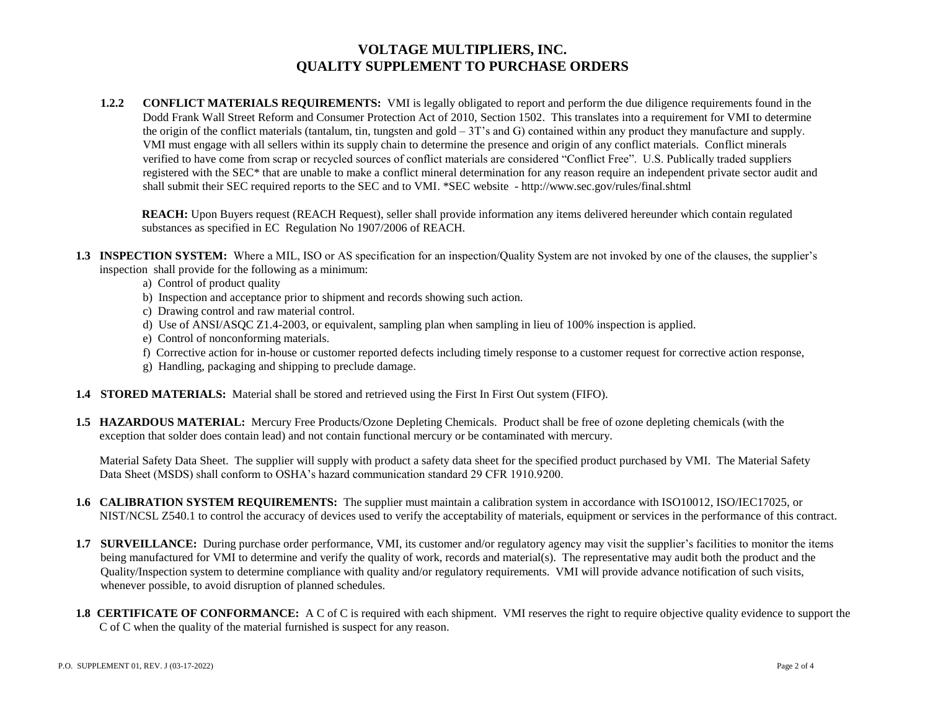## **VOLTAGE MULTIPLIERS, INC. QUALITY SUPPLEMENT TO PURCHASE ORDERS**

**1.2.2 CONFLICT MATERIALS REQUIREMENTS:** VMI is legally obligated to report and perform the due diligence requirements found in the Dodd Frank Wall Street Reform and Consumer Protection Act of 2010, Section 1502. This translates into a requirement for VMI to determine the origin of the conflict materials (tantalum, tin, tungsten and gold – 3T's and G) contained within any product they manufacture and supply. VMI must engage with all sellers within its supply chain to determine the presence and origin of any conflict materials. Conflict minerals verified to have come from scrap or recycled sources of conflict materials are considered "Conflict Free". U.S. Publically traded suppliers registered with the SEC\* that are unable to make a conflict mineral determination for any reason require an independent private sector audit and shall submit their SEC required reports to the SEC and to VMI. \*SEC website - http://www.sec.gov/rules/final.shtml

**REACH:** Upon Buyers request (REACH Request), seller shall provide information any items delivered hereunder which contain regulated substances as specified in EC Regulation No 1907/2006 of REACH.

- **1.3 INSPECTION SYSTEM:** Where a MIL, ISO or AS specification for an inspection/Quality System are not invoked by one of the clauses, the supplier's inspection shall provide for the following as a minimum:
	- a) Control of product quality
	- b) Inspection and acceptance prior to shipment and records showing such action.
	- c) Drawing control and raw material control.
	- d) Use of ANSI/ASQC Z1.4-2003, or equivalent, sampling plan when sampling in lieu of 100% inspection is applied.
	- e) Control of nonconforming materials.
	- f) Corrective action for in-house or customer reported defects including timely response to a customer request for corrective action response,
	- g) Handling, packaging and shipping to preclude damage.
- **1.4 STORED MATERIALS:** Material shall be stored and retrieved using the First In First Out system (FIFO).
- **1.5 HAZARDOUS MATERIAL:** Mercury Free Products/Ozone Depleting Chemicals. Product shall be free of ozone depleting chemicals (with the exception that solder does contain lead) and not contain functional mercury or be contaminated with mercury.

Material Safety Data Sheet. The supplier will supply with product a safety data sheet for the specified product purchased by VMI. The Material Safety Data Sheet (MSDS) shall conform to OSHA's hazard communication standard 29 CFR 1910.9200.

- **1.6 CALIBRATION SYSTEM REQUIREMENTS:** The supplier must maintain a calibration system in accordance with ISO10012, ISO/IEC17025, or NIST/NCSL Z540.1 to control the accuracy of devices used to verify the acceptability of materials, equipment or services in the performance of this contract.
- **1.7 SURVEILLANCE:** During purchase order performance, VMI, its customer and/or regulatory agency may visit the supplier's facilities to monitor the items being manufactured for VMI to determine and verify the quality of work, records and material(s). The representative may audit both the product and the Quality/Inspection system to determine compliance with quality and/or regulatory requirements. VMI will provide advance notification of such visits, whenever possible, to avoid disruption of planned schedules.
- **1.8 CERTIFICATE OF CONFORMANCE:** A C of C is required with each shipment. VMI reserves the right to require objective quality evidence to support the C of C when the quality of the material furnished is suspect for any reason.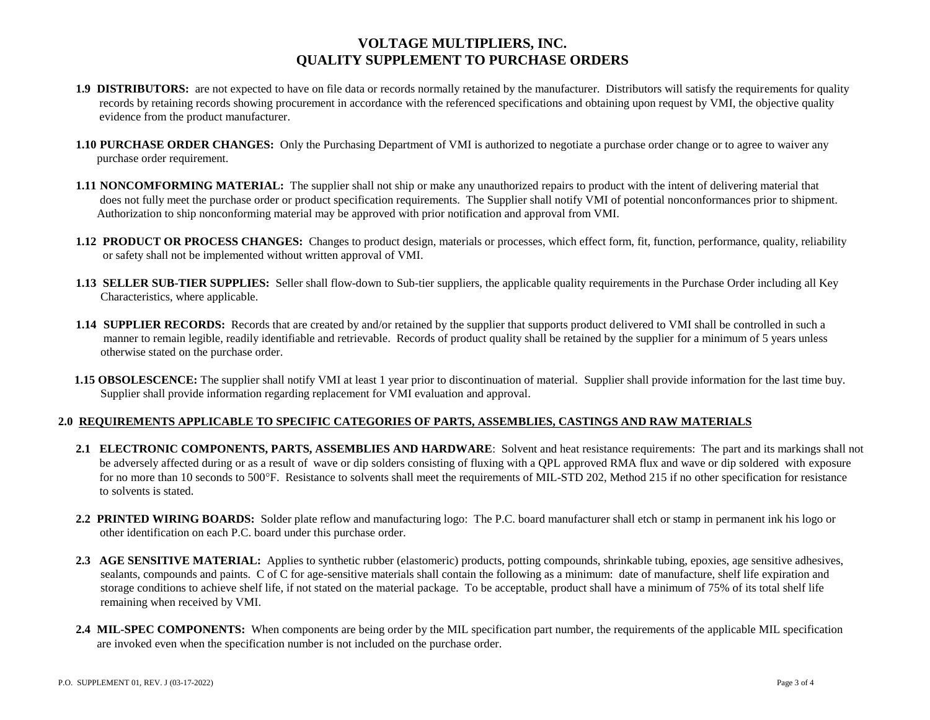## **VOLTAGE MULTIPLIERS, INC. QUALITY SUPPLEMENT TO PURCHASE ORDERS**

- **1.9 DISTRIBUTORS:** are not expected to have on file data or records normally retained by the manufacturer. Distributors will satisfy the requirements for quality records by retaining records showing procurement in accordance with the referenced specifications and obtaining upon request by VMI, the objective quality evidence from the product manufacturer.
- **1.10 PURCHASE ORDER CHANGES:** Only the Purchasing Department of VMI is authorized to negotiate a purchase order change or to agree to waiver any purchase order requirement.
- **1.11 NONCOMFORMING MATERIAL:** The supplier shall not ship or make any unauthorized repairs to product with the intent of delivering material that does not fully meet the purchase order or product specification requirements. The Supplier shall notify VMI of potential nonconformances prior to shipment. Authorization to ship nonconforming material may be approved with prior notification and approval from VMI.
- **1.12 PRODUCT OR PROCESS CHANGES:** Changes to product design, materials or processes, which effect form, fit, function, performance, quality, reliability or safety shall not be implemented without written approval of VMI.
- **1.13 SELLER SUB-TIER SUPPLIES:** Seller shall flow-down to Sub-tier suppliers, the applicable quality requirements in the Purchase Order including all Key Characteristics, where applicable.
- **1.14 SUPPLIER RECORDS:** Records that are created by and/or retained by the supplier that supports product delivered to VMI shall be controlled in such a manner to remain legible, readily identifiable and retrievable. Records of product quality shall be retained by the supplier for a minimum of 5 years unless otherwise stated on the purchase order.
- **1.15 OBSOLESCENCE:** The supplier shall notify VMI at least 1 year prior to discontinuation of material. Supplier shall provide information for the last time buy. Supplier shall provide information regarding replacement for VMI evaluation and approval.

## **2.0 REQUIREMENTS APPLICABLE TO SPECIFIC CATEGORIES OF PARTS, ASSEMBLIES, CASTINGS AND RAW MATERIALS**

- **2.1 ELECTRONIC COMPONENTS, PARTS, ASSEMBLIES AND HARDWARE**: Solvent and heat resistance requirements: The part and its markings shall not be adversely affected during or as a result of wave or dip solders consisting of fluxing with a QPL approved RMA flux and wave or dip soldered with exposure for no more than 10 seconds to 500°F. Resistance to solvents shall meet the requirements of MIL-STD 202, Method 215 if no other specification for resistance to solvents is stated.
- **2.2 PRINTED WIRING BOARDS:** Solder plate reflow and manufacturing logo: The P.C. board manufacturer shall etch or stamp in permanent ink his logo or other identification on each P.C. board under this purchase order.
- **2.3 AGE SENSITIVE MATERIAL:** Applies to synthetic rubber (elastomeric) products, potting compounds, shrinkable tubing, epoxies, age sensitive adhesives, sealants, compounds and paints. C of C for age-sensitive materials shall contain the following as a minimum: date of manufacture, shelf life expiration and storage conditions to achieve shelf life, if not stated on the material package. To be acceptable, product shall have a minimum of 75% of its total shelf life remaining when received by VMI.
- **2.4 MIL-SPEC COMPONENTS:** When components are being order by the MIL specification part number, the requirements of the applicable MIL specification are invoked even when the specification number is not included on the purchase order.